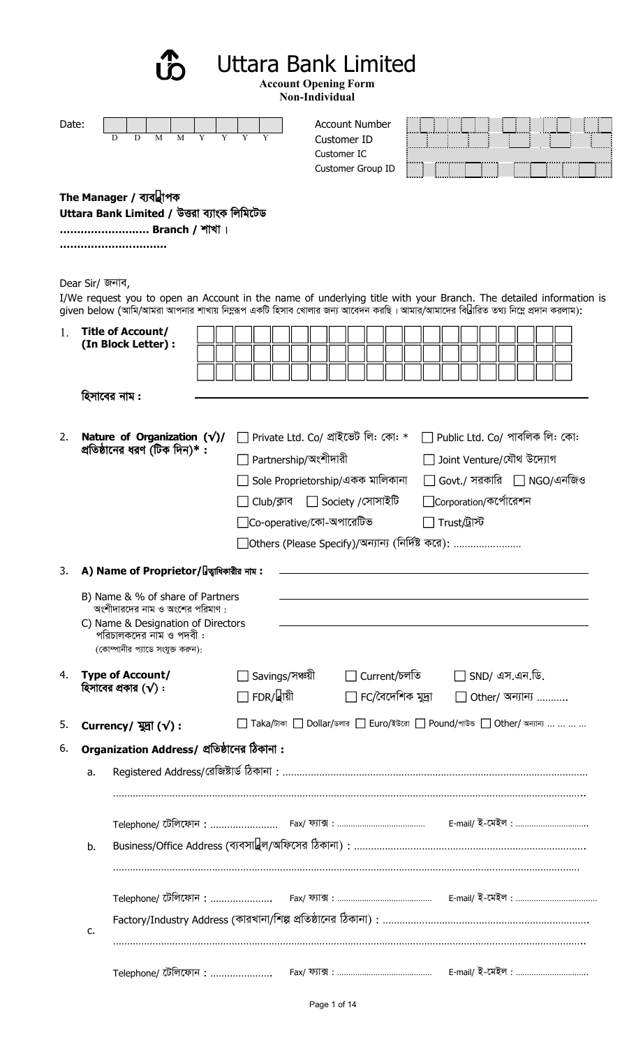Uttara Bank Limited

**Account Opening Form**

|             |                 |                                                                                                                                                                                                                                                     |                                    | Attuunt Optiniig Furm<br>Non-Individual                                                                                               |                                                 |                                                                                                        |  |
|-------------|-----------------|-----------------------------------------------------------------------------------------------------------------------------------------------------------------------------------------------------------------------------------------------------|------------------------------------|---------------------------------------------------------------------------------------------------------------------------------------|-------------------------------------------------|--------------------------------------------------------------------------------------------------------|--|
| Date:       |                 | M<br>M<br>Y<br>D<br>D                                                                                                                                                                                                                               | Y<br>Y                             | <b>Account Number</b><br>Customer ID<br>Customer IC<br>Customer Group ID                                                              |                                                 |                                                                                                        |  |
|             |                 | The Manager / ব্যবস্থাপক<br>Uttara Bank Limited / উত্তরা ব্যাংক লিমিটেড<br>Branch / শাখা ।                                                                                                                                                          |                                    |                                                                                                                                       |                                                 |                                                                                                        |  |
|             | Dear Sir/ জনাব, | I/We request you to open an Account in the name of underlying title with your Branch. The detailed information is<br>given below (আমি/আমরা আপনার শাখায় নিম্নরূপ একটি হিসাব খোলার জন্য আবেদন করছি। আমার/আমাদের বিস্তারিত তথ্য নিম্নে প্রদান করলাম): |                                    |                                                                                                                                       |                                                 |                                                                                                        |  |
| $1_{\cdot}$ |                 | <b>Title of Account/</b><br>(In Block Letter) :                                                                                                                                                                                                     |                                    |                                                                                                                                       |                                                 |                                                                                                        |  |
|             |                 | হিসাবের নাম :                                                                                                                                                                                                                                       |                                    |                                                                                                                                       |                                                 |                                                                                                        |  |
| 2.          |                 | Nature of Organization $(\sqrt{})/$<br>প্রতিষ্ঠানের ধরণ (টিক দিন)* :                                                                                                                                                                                | Partnership/অংশীদারী<br>Club/ক্লাব | Private Ltd. Co/ প্ৰাইভেট লি: কো: *<br>Sole Proprietorship/একক মালিকানা<br>$\Box$ Society /সোসাইটি<br>$\Box$ Co-operative/কো-অপারেটিভ | □ Corporation/কর্পোরেশন<br>$\Box$ Trust/ট্ৰাস্ট | $\Box$ Public Ltd. Co/ পাবলিক লি: কো:<br>Joint Venture/যৌথ উদ্যোগ<br>$Govt$ ./ সরকারি $\Box$ NGO/এনজিও |  |
| 3.          |                 | A) Name of Proprietor/স্জ্বাধিকারীর নাম:                                                                                                                                                                                                            |                                    |                                                                                                                                       |                                                 |                                                                                                        |  |
|             |                 | B) Name & % of share of Partners<br>অংশীদারদের নাম ও অংশের পরিমাণ :<br>C) Name & Designation of Directors<br>পরিচালকদের নাম ও পদবী:<br>(কোম্পানীর প্যাডে সংযুক্ত করুন):                                                                             |                                    |                                                                                                                                       |                                                 |                                                                                                        |  |
| 4.          |                 | <b>Type of Account/</b><br>হিসাবের প্রকার $(\sqrt)$ :                                                                                                                                                                                               | Savings/সঞ্চয়ী<br>∃ FDR/স্থায়ী   | Current/চলতি<br>$\Box$ FC/বৈদেশিক মুদ্ৰা                                                                                              |                                                 | $\Box$ SND/ এস.এন.ডি.<br>Other/ অন্যান্য                                                               |  |
| 5.          |                 | Currency/ $\mathbb{R}$ ( $\sqrt{}$ ) :                                                                                                                                                                                                              |                                    | Taka/টাকা $\Box$ Dollar/ডলার $\Box$ Euro/ইউরো $\Box$ Pound/পাউন্ড $\Box$ Other/ অন্যান্য                                              |                                                 |                                                                                                        |  |
| 6.          |                 | Organization Address/ প্রতিষ্ঠানের ঠিকানা:                                                                                                                                                                                                          |                                    |                                                                                                                                       |                                                 |                                                                                                        |  |
|             | a.              |                                                                                                                                                                                                                                                     |                                    |                                                                                                                                       |                                                 |                                                                                                        |  |
|             |                 |                                                                                                                                                                                                                                                     |                                    |                                                                                                                                       |                                                 |                                                                                                        |  |
|             | b.              |                                                                                                                                                                                                                                                     |                                    |                                                                                                                                       |                                                 |                                                                                                        |  |
|             | c.              | Telephone/ টেলিফোন : ……………………  Fax/ ফ্যাক্স : ……………………………………  E-mail/ ই-মেইল : …………………………………<br>Factory/Industry Address (কারখানা/শিল্প প্রতিষ্ঠানের ঠিকানা) : ………………………………………………………………                                                             |                                    |                                                                                                                                       |                                                 |                                                                                                        |  |
|             |                 | Telephone/ টেলিফোন :                                                                                                                                                                                                                                |                                    |                                                                                                                                       |                                                 |                                                                                                        |  |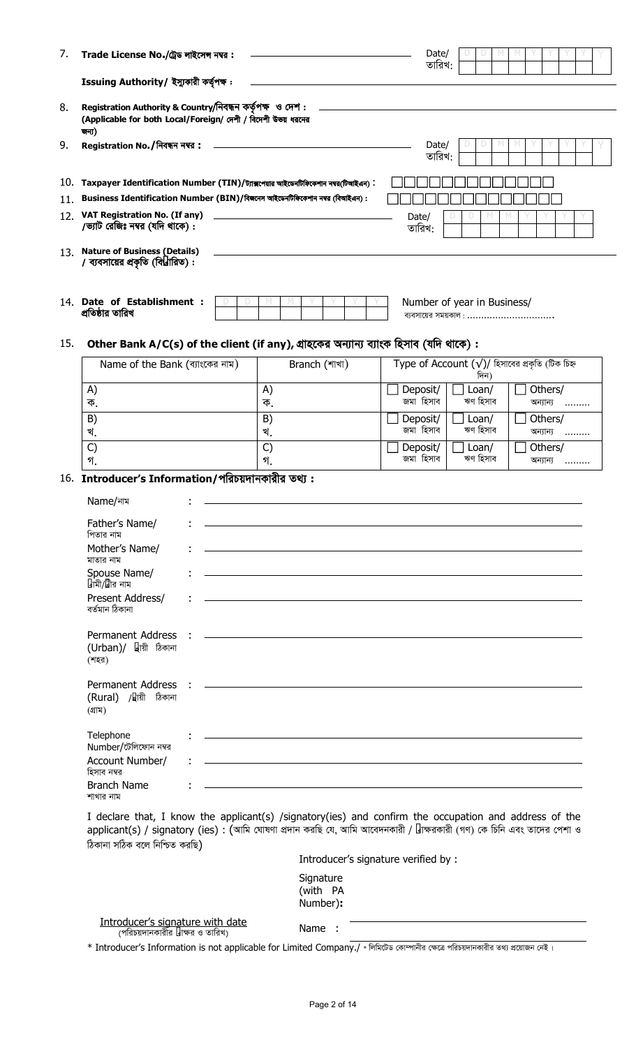|                                 |                                                                                                                                                                                                                                                                                                                                                                         |                                                                                                                                                                                                                                                                      |                                                                                                                                                                                        | D<br>M            | M                                                                                                                                                                                                                                                                                                                                                                    |
|---------------------------------|-------------------------------------------------------------------------------------------------------------------------------------------------------------------------------------------------------------------------------------------------------------------------------------------------------------------------------------------------------------------------|----------------------------------------------------------------------------------------------------------------------------------------------------------------------------------------------------------------------------------------------------------------------|----------------------------------------------------------------------------------------------------------------------------------------------------------------------------------------|-------------------|----------------------------------------------------------------------------------------------------------------------------------------------------------------------------------------------------------------------------------------------------------------------------------------------------------------------------------------------------------------------|
|                                 |                                                                                                                                                                                                                                                                                                                                                                         |                                                                                                                                                                                                                                                                      |                                                                                                                                                                                        |                   |                                                                                                                                                                                                                                                                                                                                                                      |
|                                 |                                                                                                                                                                                                                                                                                                                                                                         |                                                                                                                                                                                                                                                                      |                                                                                                                                                                                        |                   |                                                                                                                                                                                                                                                                                                                                                                      |
|                                 |                                                                                                                                                                                                                                                                                                                                                                         |                                                                                                                                                                                                                                                                      | তারিখ:                                                                                                                                                                                 |                   |                                                                                                                                                                                                                                                                                                                                                                      |
|                                 |                                                                                                                                                                                                                                                                                                                                                                         |                                                                                                                                                                                                                                                                      |                                                                                                                                                                                        |                   |                                                                                                                                                                                                                                                                                                                                                                      |
|                                 | M<br>M                                                                                                                                                                                                                                                                                                                                                                  |                                                                                                                                                                                                                                                                      |                                                                                                                                                                                        |                   |                                                                                                                                                                                                                                                                                                                                                                      |
|                                 |                                                                                                                                                                                                                                                                                                                                                                         |                                                                                                                                                                                                                                                                      |                                                                                                                                                                                        |                   |                                                                                                                                                                                                                                                                                                                                                                      |
| Name of the Bank (ব্যাংকের নাম) |                                                                                                                                                                                                                                                                                                                                                                         |                                                                                                                                                                                                                                                                      |                                                                                                                                                                                        | দিন)              |                                                                                                                                                                                                                                                                                                                                                                      |
|                                 | A)<br>ক.                                                                                                                                                                                                                                                                                                                                                                |                                                                                                                                                                                                                                                                      | Deposit/<br>জমা হিসাব                                                                                                                                                                  | Loan/<br>ঋণ হিসাব | Others/<br>অন্যান্য<br>.                                                                                                                                                                                                                                                                                                                                             |
|                                 | B)<br>খ.                                                                                                                                                                                                                                                                                                                                                                |                                                                                                                                                                                                                                                                      | Deposit/<br>জমা হিসাব                                                                                                                                                                  | Loan/<br>ঋণ হিসাব | Others/<br>অন্যান্য<br>.                                                                                                                                                                                                                                                                                                                                             |
|                                 | $\mathsf{C}$<br>গ.                                                                                                                                                                                                                                                                                                                                                      |                                                                                                                                                                                                                                                                      | Deposit/<br>জমা হিসাব                                                                                                                                                                  | Loan/<br>ঋণ হিসাব | Others/<br>অন্যান্য<br>                                                                                                                                                                                                                                                                                                                                              |
|                                 |                                                                                                                                                                                                                                                                                                                                                                         |                                                                                                                                                                                                                                                                      |                                                                                                                                                                                        |                   |                                                                                                                                                                                                                                                                                                                                                                      |
|                                 |                                                                                                                                                                                                                                                                                                                                                                         |                                                                                                                                                                                                                                                                      |                                                                                                                                                                                        |                   |                                                                                                                                                                                                                                                                                                                                                                      |
|                                 |                                                                                                                                                                                                                                                                                                                                                                         |                                                                                                                                                                                                                                                                      |                                                                                                                                                                                        |                   |                                                                                                                                                                                                                                                                                                                                                                      |
|                                 |                                                                                                                                                                                                                                                                                                                                                                         |                                                                                                                                                                                                                                                                      |                                                                                                                                                                                        |                   |                                                                                                                                                                                                                                                                                                                                                                      |
|                                 |                                                                                                                                                                                                                                                                                                                                                                         |                                                                                                                                                                                                                                                                      |                                                                                                                                                                                        |                   |                                                                                                                                                                                                                                                                                                                                                                      |
|                                 |                                                                                                                                                                                                                                                                                                                                                                         |                                                                                                                                                                                                                                                                      |                                                                                                                                                                                        |                   |                                                                                                                                                                                                                                                                                                                                                                      |
|                                 |                                                                                                                                                                                                                                                                                                                                                                         |                                                                                                                                                                                                                                                                      |                                                                                                                                                                                        |                   |                                                                                                                                                                                                                                                                                                                                                                      |
|                                 |                                                                                                                                                                                                                                                                                                                                                                         |                                                                                                                                                                                                                                                                      |                                                                                                                                                                                        |                   |                                                                                                                                                                                                                                                                                                                                                                      |
| Account Number/                 | <u> 1989 - Johann Stoff, deutscher Stoff, der Stoff, der Stoff, der Stoff, der Stoff, der Stoff, der Stoff, der S</u>                                                                                                                                                                                                                                                   |                                                                                                                                                                                                                                                                      |                                                                                                                                                                                        |                   |                                                                                                                                                                                                                                                                                                                                                                      |
|                                 |                                                                                                                                                                                                                                                                                                                                                                         |                                                                                                                                                                                                                                                                      |                                                                                                                                                                                        |                   |                                                                                                                                                                                                                                                                                                                                                                      |
|                                 | Registration No. / निवक्षन नम्ब :<br>12. VAT Registration No. (If any)<br>/ভ্যাট রেজিঃ নম্বর (যদি থাকে):<br><b>Nature of Business (Details)</b><br>/ ব্যবসায়ের প্রকৃতি (বিস্তারিত):<br>14. Date of Establishment :<br>Father's Name/<br>Mother's Name/<br>Spouse Name/<br>Present Address/<br>(Urban)/ স্থায়ী ঠিকানা<br>(Rural) /হায়ী ঠিকানা<br>Number/টেলিফোন নম্বর | Trade License No./ট্রেড লাইসেন্স নম্বর:<br>Issuing Authority/ ইস্যুকারী কর্তৃপক্ষ:<br>Registration Authority & Country/নিবন্ধন কর্তৃপক্ষ ও দেশ:<br>(Applicable for both Local/Foreign/ দেশী / বিদেশী উভয় ধরনের<br>16. Introducer's Information/পরিচয়দানকারীর তথ্য: | $10.$ Taxpayer Identification Number (TIN)/ট্যাক্সপেয়ার আইডেনটিফিকেশান নম্বর্টিআইএন):<br>Business Identification Number (BIN)/বিজনেস আইডেনটিফিকেশান নম্বর (বিআইএন) :<br>Branch (শাখা) | Date/             | Date/<br>তারিখ:<br>Date/<br>তারিখ:<br>Number of year in Business/<br>ব্যবসায়ের সময়কাল :<br>Other Bank A/C(s) of the client (if any), গ্ৰাহকের অন্যান্য ব্যাংক হিসাব (যদি থাকে):<br>Type of Account $(\sqrt{)}$ হিসাবের প্রকৃতি (টিক চিহ্ন<br><u> 1989 - John Harry Harry Harry Harry Harry Harry Harry Harry Harry Harry Harry Harry Harry Harry Harry Harry H</u> |

Introducer's signature verified by :

Signature (with PA Number)**:**

Introducer's signature with date (পরিচয়দানকারীর স্বাক্ষর ও তারিখ)

 $\delta$ কানা সঠিক বলে নিশ্চিত করছি)

Name :

 $*$  Introducer's Information is not applicable for Limited Company./  $*$ লিমিটেড কোম্পানীর ক্ষেত্রে পরিচয়দানকারীর তথ্য প্রয়োজন নেই ।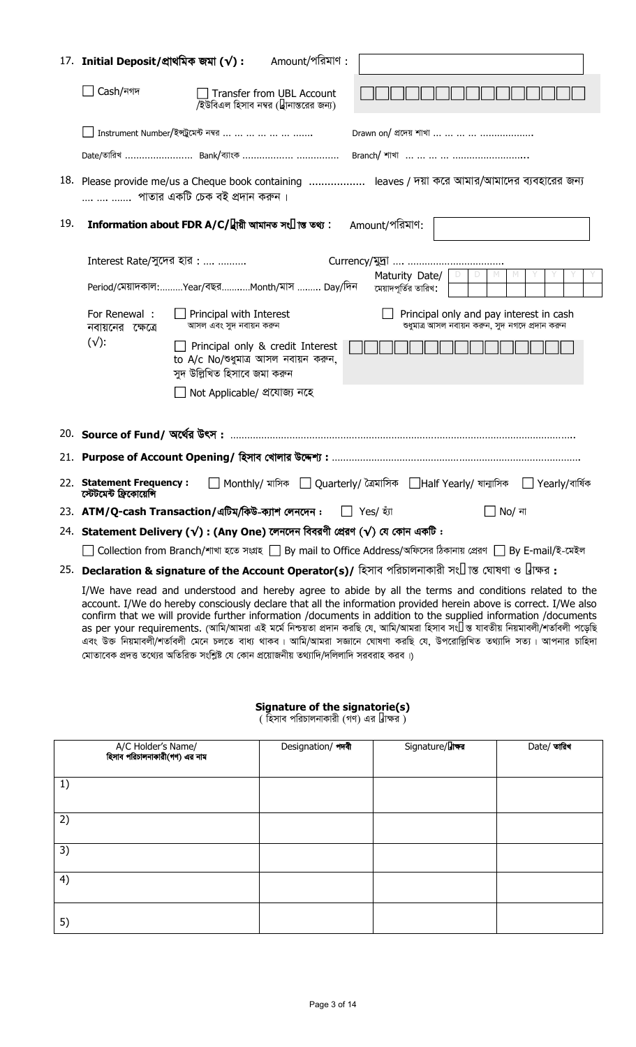|     | $17.$ Initial Deposit/প্ৰাথমিক জমা ( $\sqrt{}$ ):                                                                                        | Amount/পরিমাণ :                                                                                                                                  |  |  |  |
|-----|------------------------------------------------------------------------------------------------------------------------------------------|--------------------------------------------------------------------------------------------------------------------------------------------------|--|--|--|
|     | Cash/নগদ                                                                                                                                 | Transfer from UBL Account<br>/ইউবিএল হিসাব নম্বর (স্থানান্তরের জন্য)                                                                             |  |  |  |
|     |                                                                                                                                          | Instrument Number/ইপ্টুমেন্ট নম্বর                                                                                                               |  |  |  |
|     |                                                                                                                                          | Date/তারিখ  Bank/ব্যাংক                                                                                                                          |  |  |  |
|     |                                                                                                                                          | 18. Please provide me/us a Cheque book containing  leaves / দয়া করে আমার/আমাদের ব্যবহারের জন্য<br>পাতার একটি চেক বই প্রদান করুন ।               |  |  |  |
| 19. |                                                                                                                                          | Amount/পরিমাণ:<br>Information about FDR A/C/স্থায়ী আমানত সংক্ৰান্ত তথ্য :                                                                       |  |  |  |
|     | Interest Rate/সুদের হার :                                                                                                                |                                                                                                                                                  |  |  |  |
|     |                                                                                                                                          | $M_{\odot}$<br>$\mathbb N$<br>Maturity Date/ $\vert \ \vert$<br>D<br>Period/মেয়াদকাল:Year/বছরMonth/মাস  Day/দিন<br>মেয়াদপূর্তির তারিখ:         |  |  |  |
|     | For Renewal :<br>নবায়নের ক্ষেত্রে                                                                                                       | Principal only and pay interest in cash<br>Principal with Interest<br>শুধুমাত্র আসল নবায়ন করুন, সুদ নগদে প্রদান করুন<br>আসল এবং সুদ নবায়ন করুন |  |  |  |
|     | $(\sqrt{ }$ :                                                                                                                            | $\Box$ Principal only & credit Interest<br>to A/c No/ পুমাত্র আসল নবায়ন করুন,<br>সুদ উল্লিখিত হিসাবে জমা করুন                                   |  |  |  |
|     |                                                                                                                                          | Not Applicable/ প্ৰযোজ্য নহে                                                                                                                     |  |  |  |
|     |                                                                                                                                          |                                                                                                                                                  |  |  |  |
|     |                                                                                                                                          |                                                                                                                                                  |  |  |  |
|     | 22. Statement Frequency :<br>Monthly/ মাসিক   Quarterly/ ত্রৈমাসিক   Half Yearly/ ষান্মাসিক   Yearly/বার্ষিক<br>স্টেটমেন্ট ফ্রিকোয়েন্সি |                                                                                                                                                  |  |  |  |
|     | 23. ATM/Q-cash Transaction/এটিম/কিউ-ক্যাশ লেনদেন :<br>∏ Yes/ হ্যাঁ<br>No/ না                                                             |                                                                                                                                                  |  |  |  |
|     |                                                                                                                                          | 24. Statement Delivery (√): (Any One) লেনদেন বিবরণী প্রেরণ (√) যে কোন একটি:                                                                      |  |  |  |
|     |                                                                                                                                          | Collection from Branch/শাখা হতে সংগ্ৰহ   By mail to Office Address/অফিসের ঠিকানায় প্রেরণ   By E-mail/ই-মেইল                                     |  |  |  |
|     |                                                                                                                                          | $\sim$ $\sim$ $\sim$ $\sim$                                                                                                                      |  |  |  |

25. **Declaration & signature of the Account Operator(s)/** হিসাব পরিচালনাকারী সংক্রান্ত ঘোষণা ও স্বাক্ষর:

I/We have read and understood and hereby agree to abide by all the terms and conditions related to the account. I/We do hereby consciously declare that all the information provided herein above is correct. I/We also confirm that we will provide further information /documents in addition to the supplied information /documents as per your requirements. (আমি/আমরা এই মর্মে নিশ্চয়তা প্রদান করছি যে, আমি/আমরা হিসাব সংক্রন্ত যাবতীয় নিয়মাবলী/শর্তাবলী পড়েছি এবং উক্ত নিয়মাবলী/শতবিলী মেনে চলতে বাধ্য থাকব। আমি/আমরা সজ্ঞানে ঘোষণা করছি যে, উপরোল্লিখিত তথ্যাদি সত্য। আপনার চাহিদা মোতাবেক প্রদত্ত তথ্যের অতিরিক্ত সংশ্লিষ্ট যে কোন প্রয়োজনীয় তথ্যাদি/দলিলাদি সরবরাহ করব।)

### **Signature of the signatorie(s)**

( হিসাব পরিচালনাকারী (গণ) এর স্বাক্ষর )

| A/C Holder's Name/<br>হিসাব পরিচালনাকারী(গণ) এর নাম | Designation/ शारी | Signature/याकब | Date/ তারিখ |
|-----------------------------------------------------|-------------------|----------------|-------------|
| 1)                                                  |                   |                |             |
| 2)                                                  |                   |                |             |
| 3)                                                  |                   |                |             |
| 4)                                                  |                   |                |             |
| 5)                                                  |                   |                |             |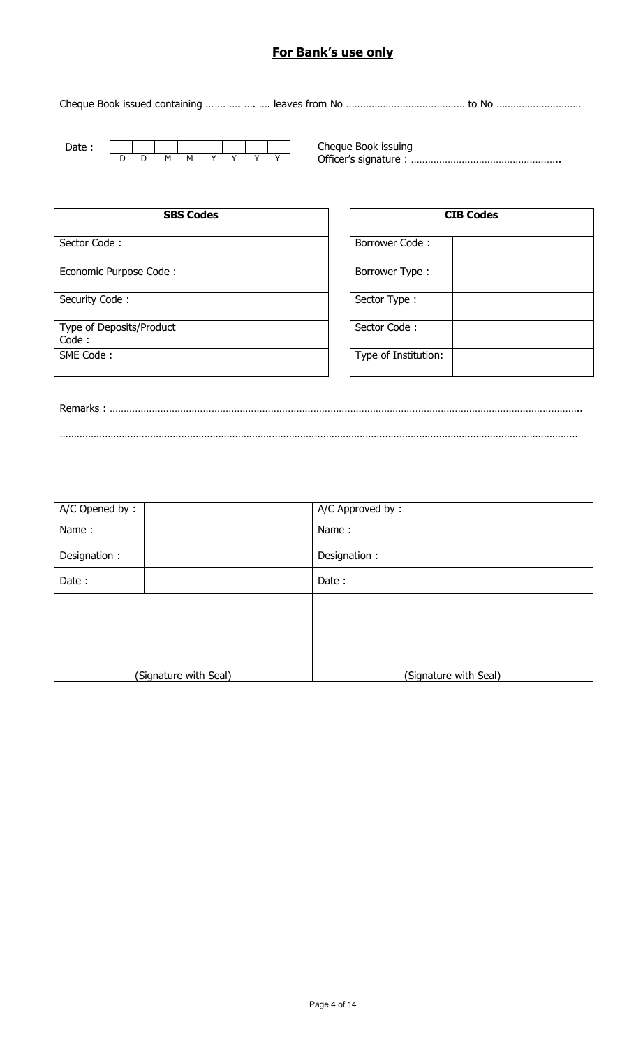# **For Bank's use only**

Cheque Book issued containing … … …. …. …. leaves from No …………………………………… to No …………………………



Cheque Book issuing Officer's signature : ……………………………………………..

| <b>SBS Codes</b>                  | <b>CIB Codes</b>      |
|-----------------------------------|-----------------------|
| Sector Code:                      | <b>Borrower Code:</b> |
| Economic Purpose Code:            | Borrower Type:        |
| Security Code:                    | Sector Type:          |
| Type of Deposits/Product<br>Code: | Sector Code:          |
| SME Code:                         | Type of Institution:  |

| <b>CIB Codes</b>     |  |  |
|----------------------|--|--|
| Borrower Code:       |  |  |
| Borrower Type:       |  |  |
| Sector Type:         |  |  |
| Sector Code:         |  |  |
| Type of Institution: |  |  |

Remarks : ………………………………………………………………………………………………………………………………………………….. …………………………………………………………………………………………………………………………………………………………………

| A/C Opened by: |                       | A/C Approved by: |                       |
|----------------|-----------------------|------------------|-----------------------|
| Name:          |                       | Name:            |                       |
| Designation:   |                       | Designation:     |                       |
| Date:          |                       | Date:            |                       |
|                |                       |                  |                       |
|                |                       |                  |                       |
|                |                       |                  |                       |
|                | (Signature with Seal) |                  | (Signature with Seal) |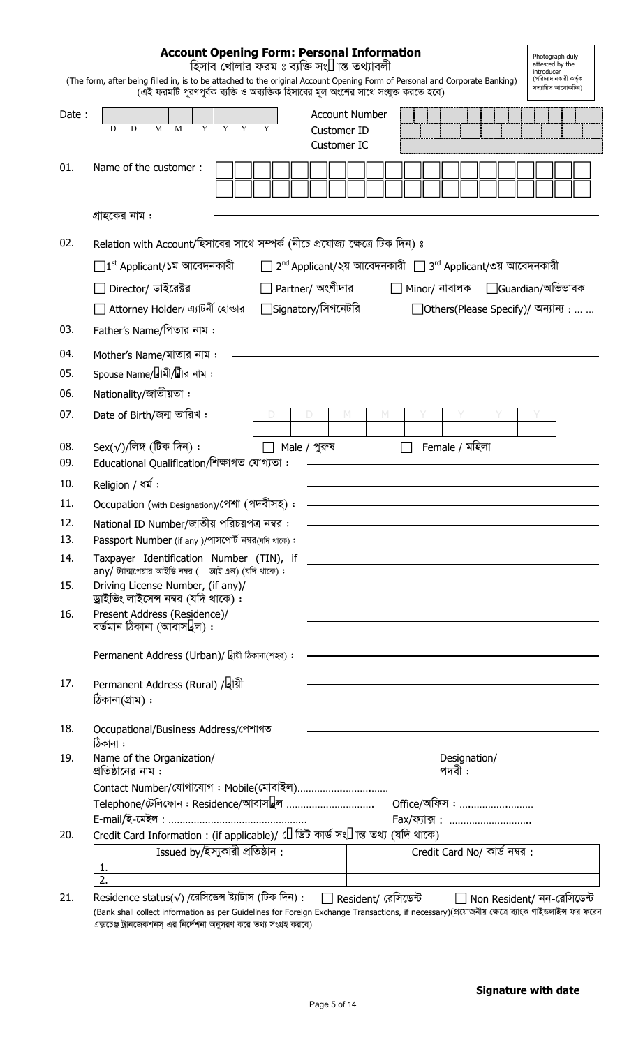| <b>Account Opening Form: Personal Information</b><br>Photograph duly<br>হিসাব খোলার ফরম ঃ ব্যক্তি সংক্রান্ত তথ্যাবলী<br>attested by the<br>introducer<br>(পরিচয়দানকারী কর্তক<br>(The form, after being filled in, is to be attached to the original Account Opening Form of Personal and Corporate Banking)<br>সত্যায়িত আলোকচিত্ৰ)<br>(এই ফরমটি পুরণপূর্বক ব্যক্তি ও অব্যক্তিক হিসাবের মূল অংশের সাথে সংযুক্ত করতে হবে) |                                                                                                                                                                         |                                                                                     |  |  |
|---------------------------------------------------------------------------------------------------------------------------------------------------------------------------------------------------------------------------------------------------------------------------------------------------------------------------------------------------------------------------------------------------------------------------|-------------------------------------------------------------------------------------------------------------------------------------------------------------------------|-------------------------------------------------------------------------------------|--|--|
| Date:                                                                                                                                                                                                                                                                                                                                                                                                                     | <b>Account Number</b><br>D<br>D<br>M<br>M<br>Customer ID<br>Customer IC                                                                                                 |                                                                                     |  |  |
| 01.                                                                                                                                                                                                                                                                                                                                                                                                                       | Name of the customer:                                                                                                                                                   |                                                                                     |  |  |
|                                                                                                                                                                                                                                                                                                                                                                                                                           | গ্রাহকের নাম :                                                                                                                                                          |                                                                                     |  |  |
| 02.                                                                                                                                                                                                                                                                                                                                                                                                                       | Relation with Account/হিসাবের সাথে সম্পর্ক (নীচে প্রযোজ্য ক্ষেত্রে টিক দিন) ঃ                                                                                           |                                                                                     |  |  |
|                                                                                                                                                                                                                                                                                                                                                                                                                           | $\Box$ 1st Applicant/১ম আবেদনকারী                                                                                                                                       | □ 2 <sup>nd</sup> Applicant/২য় আবেদনকারী □ 3 <sup>rd</sup> Applicant/৩য় আবেদনকারী |  |  |
|                                                                                                                                                                                                                                                                                                                                                                                                                           | $\Box$ Partner/ অংশীদার<br>Director/ ডাইরেক্টর                                                                                                                          | Minor/ নাবালক Guardian/অভিভাবক                                                      |  |  |
|                                                                                                                                                                                                                                                                                                                                                                                                                           | $\Box$ Signatory/সিগনেটরি<br>□ Attorney Holder/ এ্যাটৰ্নী হোল্ডার                                                                                                       | □ Others(Please Specify)/ অন্যান্য :                                                |  |  |
| 03.                                                                                                                                                                                                                                                                                                                                                                                                                       | Father's Name/পিতার নাম :                                                                                                                                               |                                                                                     |  |  |
| 04.                                                                                                                                                                                                                                                                                                                                                                                                                       | Mother's Name/মাতার নাম :                                                                                                                                               |                                                                                     |  |  |
| 05.                                                                                                                                                                                                                                                                                                                                                                                                                       | Spouse Name/স্বামী/স্ত্ৰীর নাম :                                                                                                                                        |                                                                                     |  |  |
| 06.                                                                                                                                                                                                                                                                                                                                                                                                                       | Nationality/জাতীয়তা :                                                                                                                                                  |                                                                                     |  |  |
| 07.                                                                                                                                                                                                                                                                                                                                                                                                                       | Date of Birth/জন্ম তারিখ:                                                                                                                                               | м                                                                                   |  |  |
| 08.<br>09.                                                                                                                                                                                                                                                                                                                                                                                                                | Sex( $\sqrt{}$ )/লিঙ্গ (টিক দিন):<br>Male / পুরুষ<br>Educational Qualification/শিক্ষাগত যোগ্যতা:                                                                        | Female / মহিলা                                                                      |  |  |
| 10.                                                                                                                                                                                                                                                                                                                                                                                                                       | Religion / ধর্ম:                                                                                                                                                        |                                                                                     |  |  |
| 11.                                                                                                                                                                                                                                                                                                                                                                                                                       | Occupation (with Designation)/পেশা (পদবীসহ):                                                                                                                            |                                                                                     |  |  |
| 12.                                                                                                                                                                                                                                                                                                                                                                                                                       | National ID Number/জাতীয় পরিচয়পত্র নম্বর :                                                                                                                            |                                                                                     |  |  |
| 13.<br>14.                                                                                                                                                                                                                                                                                                                                                                                                                | Passport Number (if any )/পাসপোর্ট নম্বর(যদি থাকে):<br>Taxpayer Identification Number (TIN), if                                                                         | <u> 1980 - Johann John Stein, fransk politik (f. 1980)</u>                          |  |  |
| 15.                                                                                                                                                                                                                                                                                                                                                                                                                       | $any/$ ট্যাক্সপেয়ার আইডি নম্বর ( আই এন) (যদি থাকে):<br>Driving License Number, (if any)/                                                                               |                                                                                     |  |  |
| 16.                                                                                                                                                                                                                                                                                                                                                                                                                       | ড্রাইভিং লাইসেন্স নম্বর (যদি থাকে) :<br>Present Address (Residence)/<br>বৰ্তমান ঠিকানা (আবাসস্থল) :                                                                     |                                                                                     |  |  |
|                                                                                                                                                                                                                                                                                                                                                                                                                           | Permanent Address (Urban)/ স্থায়ী ঠিকানা(শহর):                                                                                                                         |                                                                                     |  |  |
| 17.                                                                                                                                                                                                                                                                                                                                                                                                                       | Permanent Address (Rural) /স্থায়ী<br>ঠিকানা(গ্ৰাম) :                                                                                                                   |                                                                                     |  |  |
| 18.                                                                                                                                                                                                                                                                                                                                                                                                                       | Occupational/Business Address/গেশাগত<br>ঠিকানা :                                                                                                                        |                                                                                     |  |  |
| 19.                                                                                                                                                                                                                                                                                                                                                                                                                       | Name of the Organization/<br><u> 1989 - Johann Barn, mars ann an t-Amhain Aonaich an t-Aonaich an t-Aonaich ann an t-Aonaich ann an t-Aonaich</u><br>প্রতিষ্ঠানের নাম : | Designation/<br>পদবী :                                                              |  |  |
|                                                                                                                                                                                                                                                                                                                                                                                                                           | Contact Number/যোগাযোগ: Mobile(মোবাইল)                                                                                                                                  |                                                                                     |  |  |
|                                                                                                                                                                                                                                                                                                                                                                                                                           | Telephone/টেলিফোন : Residence/আবাসস্থল                                                                                                                                  | <u> Office/অফিস : </u>                                                              |  |  |
| 20.                                                                                                                                                                                                                                                                                                                                                                                                                       | Credit Card Information: (if applicable)/ ক্ৰেডিট কাৰ্ড সংক্ৰান্ত তথ্য (যদি থাকে)                                                                                       | Fax/क्गुंब्र:                                                                       |  |  |
|                                                                                                                                                                                                                                                                                                                                                                                                                           | Issued by/ইস্যুকারী প্রতিষ্ঠান:                                                                                                                                         | Credit Card No/ কাৰ্ড নম্বর:                                                        |  |  |
|                                                                                                                                                                                                                                                                                                                                                                                                                           | 1.                                                                                                                                                                      |                                                                                     |  |  |
|                                                                                                                                                                                                                                                                                                                                                                                                                           | 2.                                                                                                                                                                      |                                                                                     |  |  |

21. Residence status(√) /রেসিডেন্স ষ্ট্যাটাস (টিক দিন) :  $\Box$  Resident/ রেসিডেন্ট  $\Box$  Non Resident/ নন-রেসিডেন্ট (Bank shall collect information as per Guidelines for Foreign Exchange Transactions, if necessary)(প্রয়োজনীয় ক্ষেত্রে ব্যাংক গাইডলাইস ফর ফরেন এক্সচেঞ্জ ট্রানজেকশনস্ এর নির্দেশনা অনুসরণ করে তথ্য সংগ্রহ করবে)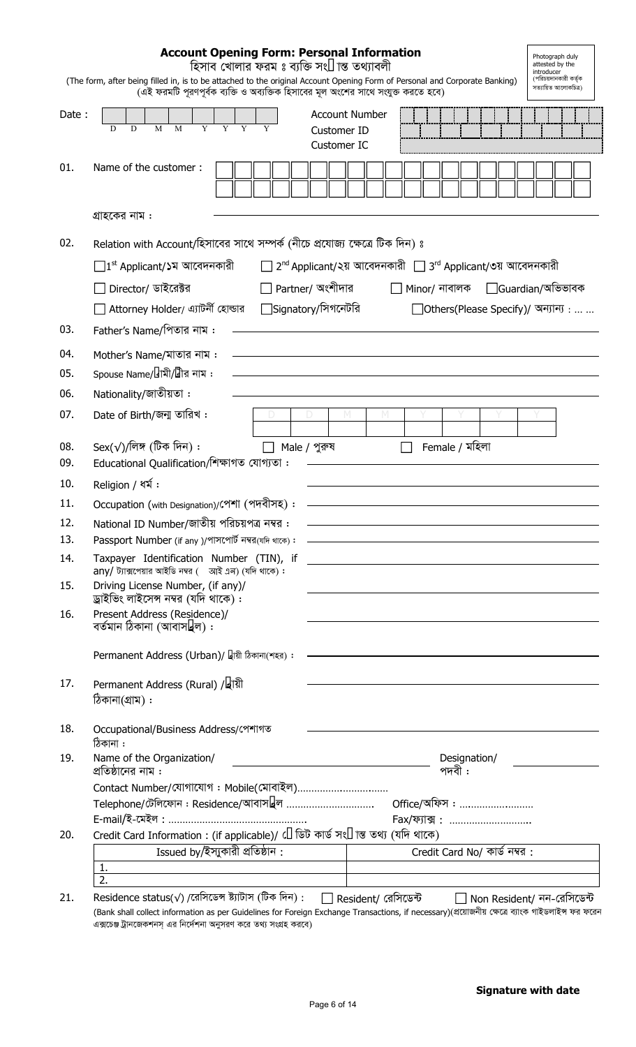|            | <b>Account Opening Form: Personal Information</b><br>হিসাব খোলার ফরম ঃ ব্যক্তি সংক্রান্ত তথ্যাবলী<br>(The form, after being filled in, is to be attached to the original Account Opening Form of Personal and Corporate Banking)<br>(এই ফরমটি পুরণপূর্বক ব্যক্তি ও অব্যক্তিক হিসাবের মূল অংশের সাথে সংযুক্ত করতে হবে) |                                                          | Photograph duly<br>attested by the<br>introducer<br>(পরিচয়দানকারী কর্তৃক<br>সত্যায়িত আলোকচিত্ৰ) |
|------------|-----------------------------------------------------------------------------------------------------------------------------------------------------------------------------------------------------------------------------------------------------------------------------------------------------------------------|----------------------------------------------------------|---------------------------------------------------------------------------------------------------|
| Date:      | <b>Account Number</b><br>M<br>M<br>D<br>D<br>Customer ID                                                                                                                                                                                                                                                              |                                                          |                                                                                                   |
|            | Customer IC                                                                                                                                                                                                                                                                                                           |                                                          |                                                                                                   |
| 01.        | Name of the customer:                                                                                                                                                                                                                                                                                                 |                                                          |                                                                                                   |
|            | গ্রাহকের নাম :                                                                                                                                                                                                                                                                                                        |                                                          |                                                                                                   |
| 02.        | Relation with Account/হিসাবের সাথে সম্পর্ক (নীচে প্রযোজ্য ক্ষেত্রে টিক দিন) ঃ                                                                                                                                                                                                                                         |                                                          |                                                                                                   |
|            | $\Box$ 1st Applicant/১ম আবেদনকারী                                                                                                                                                                                                                                                                                     | 2nd Applicant/২য় আবেদনকারী 13rd Applicant/৩য় আবেদনকারী |                                                                                                   |
|            | $\Box$ Partner/ অংশীদার<br>Director/ ডাইরেক্টর                                                                                                                                                                                                                                                                        | Minor/ নাবালক                                            | □Guardian/অভিভাবক                                                                                 |
|            | $\Box$ Signatory/সিগনেটরি<br>□ Attorney Holder/ এ্যাটর্নী হোল্ডার                                                                                                                                                                                                                                                     | □ Others(Please Specify)/ অন্যান্য :                     |                                                                                                   |
| 03.        | Father's Name/পিতার নাম :                                                                                                                                                                                                                                                                                             |                                                          |                                                                                                   |
| 04.        | Mother's Name/মাতার নাম:                                                                                                                                                                                                                                                                                              |                                                          |                                                                                                   |
| 05.        | Spouse Name/স্বামী/ম্বীর নাম:                                                                                                                                                                                                                                                                                         |                                                          |                                                                                                   |
| 06.        | Nationality/জাতীয়তা :                                                                                                                                                                                                                                                                                                |                                                          |                                                                                                   |
| 07.        | Date of Birth/জন্ম তারিখ:                                                                                                                                                                                                                                                                                             |                                                          |                                                                                                   |
| 08.        | Sex( $\sqrt{}$ )/লিঙ্গ (টিক দিন):<br>Male / পুরুষ                                                                                                                                                                                                                                                                     | Female / মহিলা                                           |                                                                                                   |
| 09.        | Educational Qualification/শিক্ষাগত যোগ্যতা:                                                                                                                                                                                                                                                                           |                                                          |                                                                                                   |
| 10.        | Religion / ধর্ম:                                                                                                                                                                                                                                                                                                      |                                                          |                                                                                                   |
| 11.<br>12. | Occupation (with Designation)/পেশা (পদবীসহ):<br>National ID Number/জাতীয় পরিচয়পত্র নম্বর :                                                                                                                                                                                                                          |                                                          |                                                                                                   |
| 13.        | Passport Number (if any )/পাসপোর্ট নম্বর(যদি থাকে):                                                                                                                                                                                                                                                                   |                                                          |                                                                                                   |
| 14.        | Taxpayer Identification Number (TIN), if                                                                                                                                                                                                                                                                              |                                                          |                                                                                                   |
| 15.        | $any/$ ট্যাক্সপেয়ার আইডি নম্বর ( আই এন) (যদি থাকে):<br>Driving License Number, (if any)/<br>ড্রাইভিং লাইসেন্স নম্বর (যদি থাকে) :                                                                                                                                                                                     |                                                          |                                                                                                   |
| 16.        | Present Address (Residence)/<br>বৰ্তমান ঠিকানা (আবাসস্থল) :                                                                                                                                                                                                                                                           |                                                          |                                                                                                   |
|            | Permanent Address (Urban)/ স্থায়ী ঠিকানা(শহর):                                                                                                                                                                                                                                                                       |                                                          |                                                                                                   |
| 17.        | Permanent Address (Rural) /স্থায়ী<br>ঠিকানা(গ্ৰাম) :                                                                                                                                                                                                                                                                 |                                                          |                                                                                                   |
| 18.        | Occupational/Business Address/গেশাগত<br>ঠিকানা :                                                                                                                                                                                                                                                                      |                                                          |                                                                                                   |
| 19.        | Name of the Organization/<br><u> 1986 - Johann Stein, Amerikaansk kanton (</u><br>প্রতিষ্ঠানের নাম :                                                                                                                                                                                                                  | Designation/<br>পদবী :                                   |                                                                                                   |
|            | Contact Number/যোগাযোগ: Mobile(মোবাইল)                                                                                                                                                                                                                                                                                |                                                          |                                                                                                   |
|            | Telephone/টেলিফোন : Residence/আবাসস্থল                                                                                                                                                                                                                                                                                | <u> Office/অফিস : </u>                                   |                                                                                                   |
| 20.        | Credit Card Information: (if applicable)/ ক্ৰেডিট কাৰ্ড সংক্ৰান্ত তথ্য (যদি থাকে)                                                                                                                                                                                                                                     | Fax/ফ্যাক্স:                                             |                                                                                                   |
|            | Issued by/ইস্যুকারী প্রতিষ্ঠান :                                                                                                                                                                                                                                                                                      | Credit Card No/ কাৰ্ড নম্বর:                             |                                                                                                   |
|            | 1.                                                                                                                                                                                                                                                                                                                    |                                                          |                                                                                                   |
|            | 2.                                                                                                                                                                                                                                                                                                                    |                                                          |                                                                                                   |

21. Residence status(√) /‡iwm‡WÝ ó¨vUvm (wUK w`b) : Resident/ †iwm‡W›U Non Resident/ bb-†iwm‡W›U (Bank shall collect information as per Guidelines for Foreign Exchange Transactions, if necessary)(প্রয়োজনীয় ক্ষেত্রে ব্যাংক গাইডলাইস ফর ফরেন এক্সচেঞ্জ ট্রানজেকশনস্ এর নির্দেশনা অনুসরণ করে তথ্য সংগ্রহ করবে)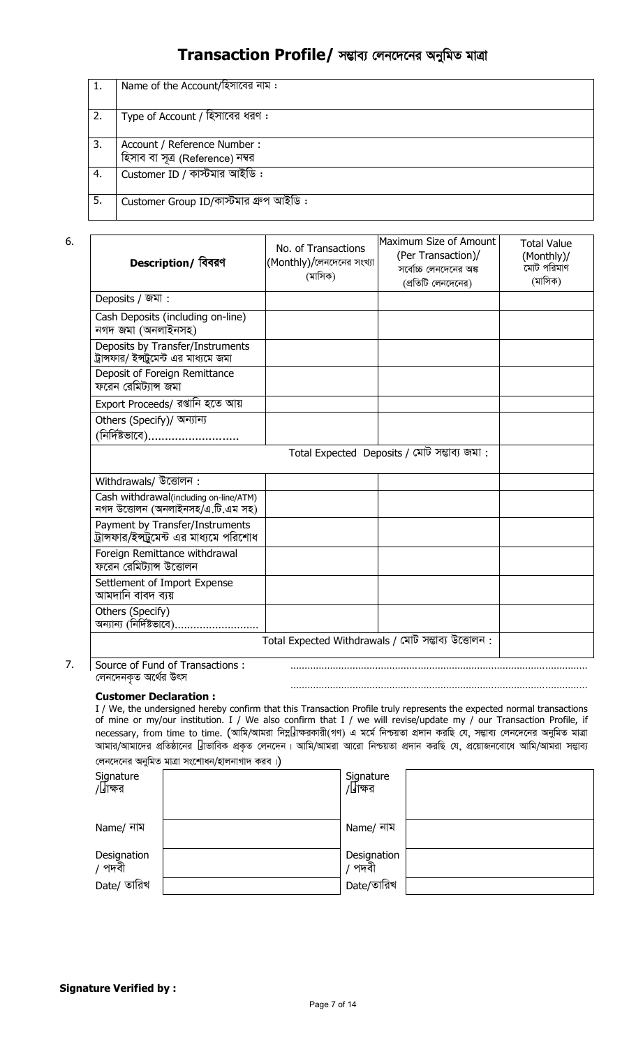# Transaction Profile/ সম্ভাব্য লেনদেনের অনুমিত মাত্রা

| 1. | Name of the Account/হিসাবের নাম:       |
|----|----------------------------------------|
|    |                                        |
| 2. | Type of Account / হিসাবের ধরণ:         |
|    |                                        |
| 3. | Account / Reference Number :           |
|    | হিসাব বা সূত্র (Reference) নম্বর       |
| 4. | Customer ID / কাস্টমার আইডি:           |
|    |                                        |
| 5. | Customer Group ID/কাস্টমার গ্রুপ আইডি: |
|    |                                        |

6.

| Description/ বিবরণ                                                             | No. of Transactions<br>(Monthly)/লেনদেনের সংখ্যা<br>(মাসিক) | Maximum Size of Amount<br>(Per Transaction)/<br>সর্বোচ্চ লেনদেনের অঙ্ক<br>(প্রতিটি লেনদেনের) | <b>Total Value</b><br>(Monthly)/<br>মোট পরিমাণ<br>(মাসিক) |  |  |
|--------------------------------------------------------------------------------|-------------------------------------------------------------|----------------------------------------------------------------------------------------------|-----------------------------------------------------------|--|--|
| Deposits / জমা:                                                                |                                                             |                                                                                              |                                                           |  |  |
| Cash Deposits (including on-line)<br>নগদ জমা (অনলাইনসহ)                        |                                                             |                                                                                              |                                                           |  |  |
| Deposits by Transfer/Instruments<br>ট্রান্সফার/ ইন্সট্রমেন্ট এর মাধ্যমে জমা    |                                                             |                                                                                              |                                                           |  |  |
| Deposit of Foreign Remittance<br>ফরেন রেমিট্যান্স জমা                          |                                                             |                                                                                              |                                                           |  |  |
| Export Proceeds/ রপ্তানি হতে আয়                                               |                                                             |                                                                                              |                                                           |  |  |
| Others (Specify)/ অন্যান্য                                                     |                                                             |                                                                                              |                                                           |  |  |
| (নিৰ্দিষ্টভাবে)                                                                |                                                             |                                                                                              |                                                           |  |  |
|                                                                                |                                                             | Total Expected Deposits / মোট সম্ভাব্য জমা:                                                  |                                                           |  |  |
| Withdrawals/ উত্তোলন:                                                          |                                                             |                                                                                              |                                                           |  |  |
| Cash withdrawal(including on-line/ATM)<br>নগদ উত্তোলন (অনলাইনসহ/এ.টি.এম সহ)    |                                                             |                                                                                              |                                                           |  |  |
| Payment by Transfer/Instruments<br>ট্রান্সফার/ইন্স্ট্রুমেন্ট এর মাধ্যমে পরিশোধ |                                                             |                                                                                              |                                                           |  |  |
| Foreign Remittance withdrawal<br>ফরেন রেমিট্যান্স উত্তোলন                      |                                                             |                                                                                              |                                                           |  |  |
| Settlement of Import Expense<br>আমদানি বাবদ ব্যয়                              |                                                             |                                                                                              |                                                           |  |  |
| Others (Specify)<br>অন্যান্য (নির্দিষ্টভাবে)                                   |                                                             |                                                                                              |                                                           |  |  |
|                                                                                | Total Expected Withdrawals / মোট সম্ভাব্য উত্তোলন:          |                                                                                              |                                                           |  |  |
| Source of Fund of Transactions:<br>লেনদেনকত অর্থের উৎস                         |                                                             |                                                                                              |                                                           |  |  |

7.

#### **Customer Declaration :**

I / We, the undersigned hereby confirm that this Transaction Profile truly represents the expected normal transactions of mine or my/our institution. I / We also confirm that I / we will revise/update my / our Transaction Profile, if necessary, from time to time. (আমি/আমরা নিম্বাক্ষরকারী(গণ) এ মর্মে নিশ্চয়তা প্রদান করছি যে, সম্ভাব্য লেনদেনের অনুমিত মাত্রা আমার/আমাদের প্রতিষ্ঠানের স্বাভাবিক প্রকৃত লেনদেন। আমি/আমরা আরো নিশ্চয়তা প্রদান করছি যে, প্রয়োজনবোধে আমি/আমরা সম্ভাব্য লেনদেনের অনুমিত মাত্রা সংশোধন/হালনাগাদ করব।)

……………………………………………………………………………………………

| $\sim$                | $\epsilon$ |             |  |
|-----------------------|------------|-------------|--|
| Signature             |            | Signature   |  |
| /স্বাক্ষর             |            | /স্বাক্ষর   |  |
|                       |            |             |  |
|                       |            |             |  |
| Name/ নাম             |            | Name/ নাম   |  |
|                       |            |             |  |
|                       |            | Designation |  |
| Designation<br>/ পদবী |            | পদবী        |  |
| Date/ তারিখ           |            | Date/তারিখ  |  |
|                       |            |             |  |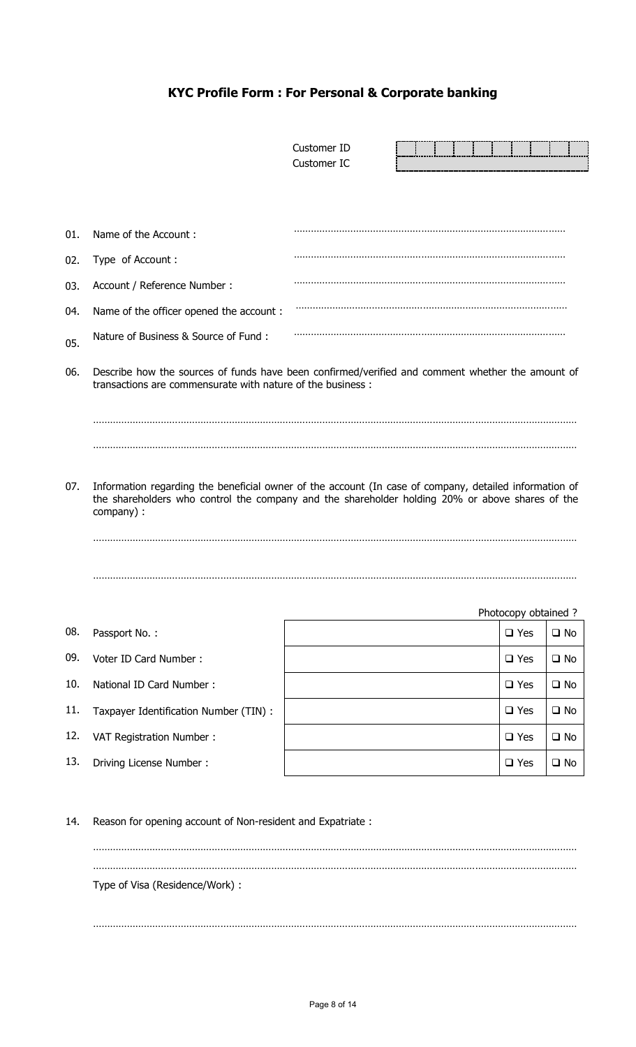# **KYC Profile Form : For Personal & Corporate banking**

|     |                                                                                                | Customer ID<br>Customer IC                                                                                                                                                                                |                      |              |
|-----|------------------------------------------------------------------------------------------------|-----------------------------------------------------------------------------------------------------------------------------------------------------------------------------------------------------------|----------------------|--------------|
|     |                                                                                                |                                                                                                                                                                                                           |                      |              |
| 01. | Name of the Account:                                                                           |                                                                                                                                                                                                           |                      |              |
| 02. | Type of Account :                                                                              |                                                                                                                                                                                                           |                      |              |
| 03. | Account / Reference Number :                                                                   |                                                                                                                                                                                                           |                      |              |
| 04. | Name of the officer opened the account:                                                        |                                                                                                                                                                                                           |                      |              |
| 05. | Nature of Business & Source of Fund:                                                           |                                                                                                                                                                                                           |                      |              |
| 06. | transactions are commensurate with nature of the business:                                     | Describe how the sources of funds have been confirmed/verified and comment whether the amount of                                                                                                          |                      |              |
| 07. | company) :                                                                                     | Information regarding the beneficial owner of the account (In case of company, detailed information of<br>the shareholders who control the company and the shareholder holding 20% or above shares of the | Photocopy obtained ? |              |
| 08. | Passport No.:                                                                                  |                                                                                                                                                                                                           | $\Box$ Yes           | $\square$ No |
| 09. | Voter ID Card Number:                                                                          |                                                                                                                                                                                                           | $\Box$ Yes           | $\square$ No |
| 10. | National ID Card Number:                                                                       |                                                                                                                                                                                                           | $\Box$ Yes           | $\square$ No |
| 11. | Taxpayer Identification Number (TIN) :                                                         |                                                                                                                                                                                                           | $\Box$ Yes           | $\square$ No |
| 12. | VAT Registration Number:                                                                       |                                                                                                                                                                                                           | $\square$ Yes        | $\square$ No |
| 13. | Driving License Number:                                                                        |                                                                                                                                                                                                           | $\square$ Yes        | $\square$ No |
| 14. | Reason for opening account of Non-resident and Expatriate :<br>Type of Visa (Residence/Work) : |                                                                                                                                                                                                           |                      |              |

………………………………………………………………………………………………………………………………………………………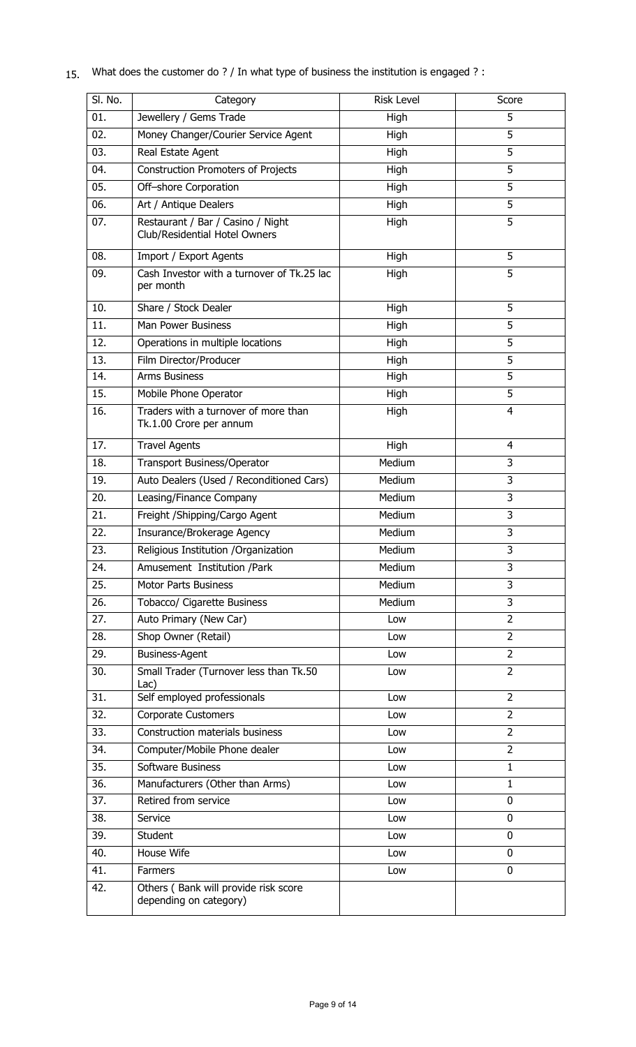| SI. No. | Category                                                           | <b>Risk Level</b> | Score          |
|---------|--------------------------------------------------------------------|-------------------|----------------|
| 01.     | Jewellery / Gems Trade                                             | High              | 5              |
| 02.     | Money Changer/Courier Service Agent                                | High              | 5              |
| 03.     | Real Estate Agent                                                  | High              | $\overline{5}$ |
| 04.     | <b>Construction Promoters of Projects</b>                          | High              | $\overline{5}$ |
| 05.     | Off-shore Corporation                                              | High              | 5              |
| 06.     | Art / Antique Dealers                                              | High              | 5              |
| 07.     | Restaurant / Bar / Casino / Night<br>Club/Residential Hotel Owners | High              | $\overline{5}$ |
| 08.     | Import / Export Agents                                             | High              | 5              |
| 09.     | Cash Investor with a turnover of Tk.25 lac<br>per month            | High              | 5              |
| 10.     | Share / Stock Dealer                                               | High              | 5              |
| 11.     | <b>Man Power Business</b>                                          | High              | 5              |
| 12.     | Operations in multiple locations                                   | High              | 5              |
| 13.     | Film Director/Producer                                             | High              | 5              |
| 14.     | <b>Arms Business</b>                                               | High              | $\overline{5}$ |
| 15.     | Mobile Phone Operator                                              | High              | 5              |
| 16.     | Traders with a turnover of more than<br>Tk.1.00 Crore per annum    | High              | $\overline{4}$ |
| 17.     | <b>Travel Agents</b>                                               | High              | $\overline{4}$ |
| 18.     | <b>Transport Business/Operator</b>                                 | Medium            | $\overline{3}$ |
| 19.     | Auto Dealers (Used / Reconditioned Cars)                           | Medium            | $\overline{3}$ |
| 20.     | Leasing/Finance Company                                            | Medium            | 3              |
| 21.     | Freight /Shipping/Cargo Agent                                      | Medium            | 3              |
| 22.     | Insurance/Brokerage Agency                                         | Medium            | 3              |
| 23.     | Religious Institution / Organization                               | Medium            | 3              |
| 24.     | Amusement Institution /Park                                        | Medium            | 3              |
| 25.     | <b>Motor Parts Business</b>                                        | Medium            | 3              |
| 26.     | Tobacco/ Cigarette Business                                        | Medium            | 3              |
| 27.     | Auto Primary (New Car)                                             | Low               | $\overline{2}$ |
| 28.     | Shop Owner (Retail)                                                | Low               | $\overline{2}$ |
| 29.     | <b>Business-Agent</b>                                              | Low               | $\overline{2}$ |
| 30.     | Small Trader (Turnover less than Tk.50<br>$Lac$ )                  | Low               | $\overline{2}$ |
| 31.     | Self employed professionals                                        | Low               | $\overline{2}$ |
| 32.     | <b>Corporate Customers</b>                                         | Low               | $\overline{2}$ |
| 33.     | Construction materials business                                    | Low               | $\overline{2}$ |
| 34.     | Computer/Mobile Phone dealer                                       | Low               | $\overline{2}$ |
| 35.     | Software Business                                                  | Low               | $\mathbf{1}$   |
| 36.     | Manufacturers (Other than Arms)                                    | Low               | $\mathbf 1$    |
| 37.     | Retired from service                                               | Low               | 0              |
| 38.     | Service                                                            | Low               | 0              |
| 39.     | Student                                                            | Low               | 0              |
| 40.     | House Wife                                                         | Low               | 0              |
| 41.     | Farmers                                                            | Low               | 0              |
| 42.     | Others (Bank will provide risk score<br>depending on category)     |                   |                |

15. What does the customer do ? / In what type of business the institution is engaged ? :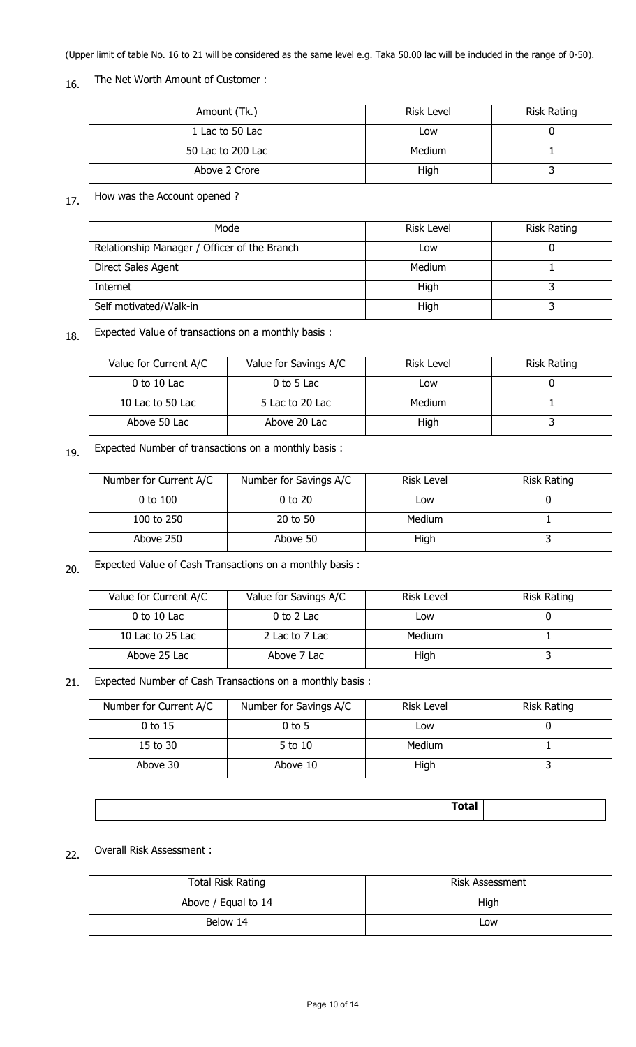(Upper limit of table No. 16 to 21 will be considered as the same level e.g. Taka 50.00 lac will be included in the range of 0-50).

## 16. The Net Worth Amount of Customer :

| Amount (Tk.)      | <b>Risk Level</b> | <b>Risk Rating</b> |
|-------------------|-------------------|--------------------|
| 1 Lac to 50 Lac   | Low               |                    |
| 50 Lac to 200 Lac | Medium            |                    |
| Above 2 Crore     | High              |                    |

## 17. How was the Account opened ?

| Mode                                         | <b>Risk Level</b> | Risk Rating |
|----------------------------------------------|-------------------|-------------|
| Relationship Manager / Officer of the Branch | Low               |             |
| Direct Sales Agent                           | Medium            |             |
| Internet                                     | High              |             |
| Self motivated/Walk-in                       | High              |             |

### 18. Expected Value of transactions on a monthly basis :

| Value for Current A/C | Value for Savings A/C | <b>Risk Level</b> | Risk Rating |
|-----------------------|-----------------------|-------------------|-------------|
| $0$ to 10 Lac         | $0$ to 5 Lac          | Low               |             |
| 10 Lac to 50 Lac      | 5 Lac to 20 Lac       | Medium            |             |
| Above 50 Lac          | Above 20 Lac          | High              |             |

### 19. Expected Number of transactions on a monthly basis :

| Number for Current A/C | Number for Savings A/C | Risk Level | <b>Risk Rating</b> |
|------------------------|------------------------|------------|--------------------|
| $0$ to $100$           | $0$ to $20$            | LOW        |                    |
| 100 to 250             | 20 to 50               | Medium     |                    |
| Above 250              | Above 50               | High       |                    |

### 20. Expected Value of Cash Transactions on a monthly basis :

| Value for Current A/C | Value for Savings A/C | <b>Risk Level</b> | <b>Risk Rating</b> |
|-----------------------|-----------------------|-------------------|--------------------|
| $0$ to 10 Lac         | $0$ to 2 Lac          | Low               |                    |
| 10 Lac to 25 Lac      | 2 Lac to 7 Lac        | Medium            |                    |
| Above 25 Lac          | Above 7 Lac           | High              |                    |

#### 21. Expected Number of Cash Transactions on a monthly basis :

| Number for Current A/C | Number for Savings A/C | Risk Level | <b>Risk Rating</b> |
|------------------------|------------------------|------------|--------------------|
| 0 to 15                | $0$ to 5               | Low        |                    |
| 15 to 30               | 5 to 10                | Medium     |                    |
| Above 30               | Above 10               | High       |                    |

| <b>Total</b> |  |
|--------------|--|
|              |  |

### 22. Overall Risk Assessment :

| Total Risk Rating   | Risk Assessment |
|---------------------|-----------------|
| Above / Equal to 14 | High            |
| Below 14            | Low             |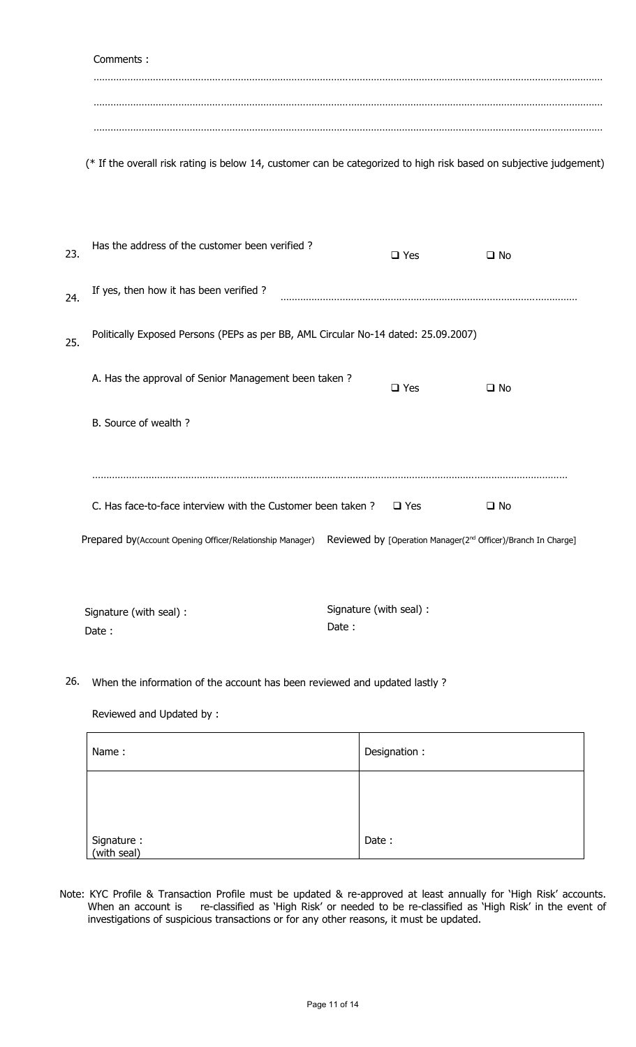|     | Comments:                                                                                                          |                                  |               |                                                                           |
|-----|--------------------------------------------------------------------------------------------------------------------|----------------------------------|---------------|---------------------------------------------------------------------------|
|     |                                                                                                                    |                                  |               |                                                                           |
|     |                                                                                                                    |                                  |               |                                                                           |
|     | (* If the overall risk rating is below 14, customer can be categorized to high risk based on subjective judgement) |                                  |               |                                                                           |
| 23. | Has the address of the customer been verified?                                                                     |                                  | $\square$ Yes | $\square$ No                                                              |
| 24. | If yes, then how it has been verified ?                                                                            |                                  |               |                                                                           |
| 25. | Politically Exposed Persons (PEPs as per BB, AML Circular No-14 dated: 25.09.2007)                                 |                                  |               |                                                                           |
|     | A. Has the approval of Senior Management been taken?                                                               |                                  | $\square$ Yes | $\square$ No                                                              |
|     | B. Source of wealth ?                                                                                              |                                  |               |                                                                           |
|     |                                                                                                                    |                                  |               |                                                                           |
|     | C. Has face-to-face interview with the Customer been taken?                                                        |                                  | $\Box$ Yes    | $\square$ No                                                              |
|     | Prepared by(Account Opening Officer/Relationship Manager)                                                          |                                  |               | Reviewed by [Operation Manager(2 <sup>nd</sup> Officer)/Branch In Charge] |
|     | Signature (with seal) :<br>Date:                                                                                   | Signature (with seal) :<br>Date: |               |                                                                           |

26. When the information of the account has been reviewed and updated lastly ?

Reviewed and Updated by :

| Name:                     | Designation: |
|---------------------------|--------------|
|                           |              |
| Signature:<br>(with seal) | Date:        |

Note: KYC Profile & Transaction Profile must be updated & re-approved at least annually for 'High Risk' accounts. When an account is re-classified as 'High Risk' or needed to be re-classified as 'High Risk' in the event of investigations of suspicious transactions or for any other reasons, it must be updated.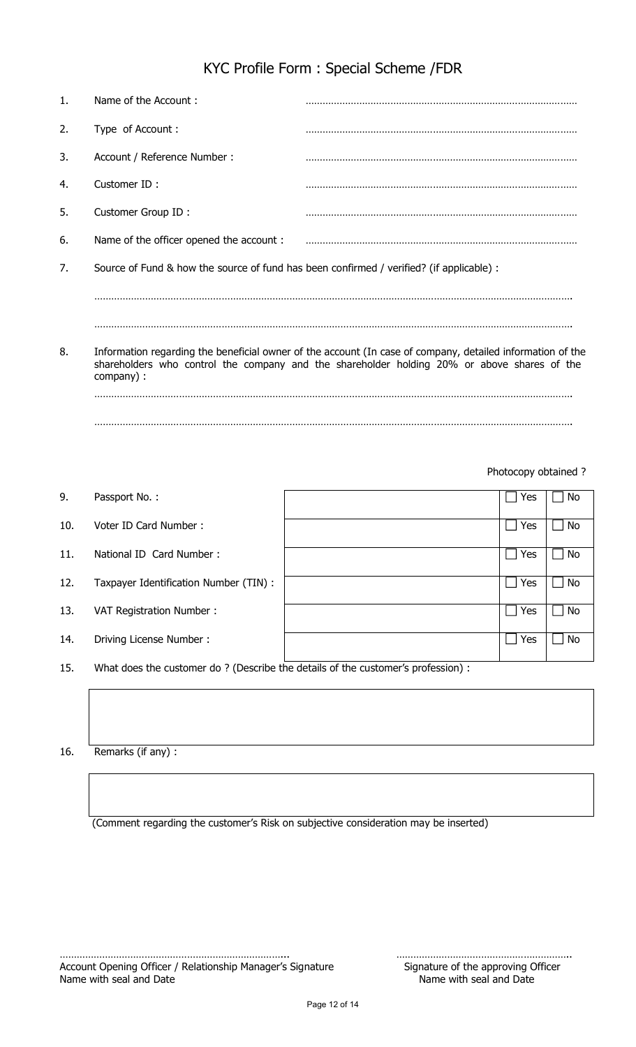| KYC Profile Form: Special Scheme /FDR |  |
|---------------------------------------|--|
|---------------------------------------|--|

| $\mathbf{1}$ . | Name of the Account:                                                                     |                                                                                                                                                                                                           |  |
|----------------|------------------------------------------------------------------------------------------|-----------------------------------------------------------------------------------------------------------------------------------------------------------------------------------------------------------|--|
| 2.             | Type of Account :                                                                        |                                                                                                                                                                                                           |  |
| 3.             | Account / Reference Number :                                                             |                                                                                                                                                                                                           |  |
| 4.             | Customer ID:                                                                             |                                                                                                                                                                                                           |  |
| 5.             | Customer Group ID:                                                                       |                                                                                                                                                                                                           |  |
| 6.             | Name of the officer opened the account:                                                  |                                                                                                                                                                                                           |  |
| 7.             | Source of Fund & how the source of fund has been confirmed / verified? (if applicable) : |                                                                                                                                                                                                           |  |
|                |                                                                                          |                                                                                                                                                                                                           |  |
|                |                                                                                          |                                                                                                                                                                                                           |  |
| 8.             | company) :                                                                               | Information regarding the beneficial owner of the account (In case of company, detailed information of the<br>shareholders who control the company and the shareholder holding 20% or above shares of the |  |

Photocopy obtained ?

| 9.  | Passport No.:                                                                    |  | Yes                   | No |
|-----|----------------------------------------------------------------------------------|--|-----------------------|----|
| 10. | Voter ID Card Number:                                                            |  | Yes                   | No |
| 11. | National ID Card Number:                                                         |  | Yes<br>$\mathbf{I}$   | No |
| 12. | Taxpayer Identification Number (TIN) :                                           |  | Yes<br>$\blacksquare$ | No |
| 13. | VAT Registration Number:                                                         |  | Yes<br>$\blacksquare$ | No |
| 14. | Driving License Number:                                                          |  | Yes<br>$\blacksquare$ | No |
| 15. | What does the customer do? (Describe the details of the customer's profession) : |  |                       |    |

…………………………………………………………………………………………………………………………………………………….

16. Remarks (if any) :

(Comment regarding the customer's Risk on subjective consideration may be inserted)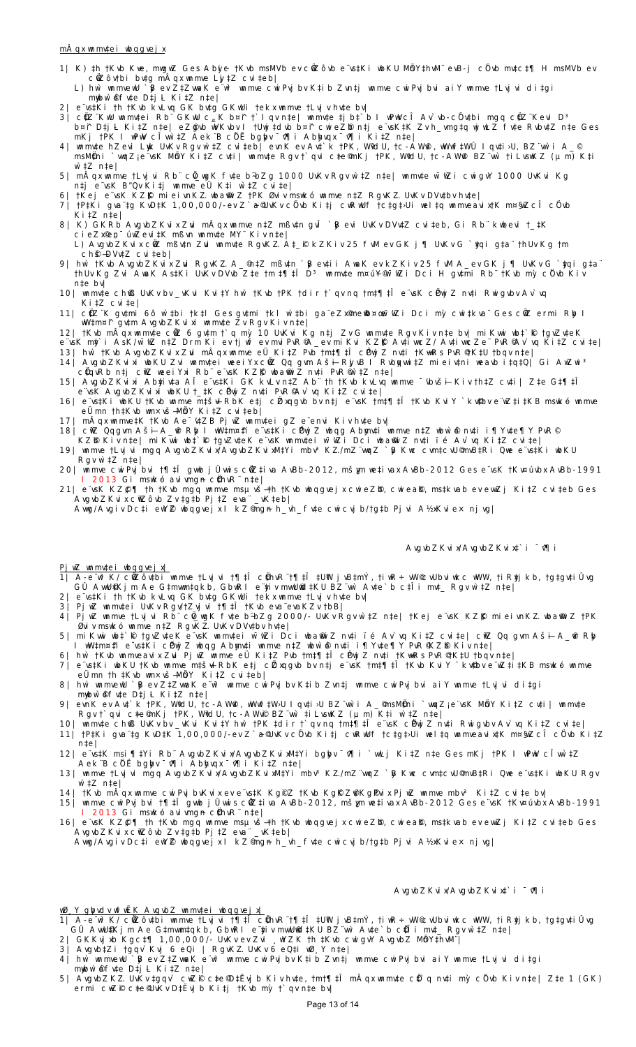#### **mÂqx wnmv‡ei wbqgvejx**

- 1| K) ‡h †Kvb K $*$ e, mwgwZ Ges Abji c †Kvb msMVb ev cílZôvb e¨vs‡Ki wbKU MínY‡hvM¨ evB-j cÌ vb mv‡c‡¶ H msMVb ev cŨZôv†bi bv‡g mÄqx wnmve Lj‡Z cvi‡eb|
- L) hw`wnmvewU`β ev Z‡ZwaK e¨wªwnmve cwiPvj bv K‡ib Zvn‡j wnmve cwiPvj bvi aiYwnmve †Lvjvi di‡gi mybw`&fv‡e D‡j L Ki‡Z n‡e|
- 2| e¨vs‡Ki †h †Kvb kvLvq GK bv‡g GKwUi †ekx wnmve †Lvjv hv‡e bv|
- 3| c¢Z¨KwU wnmv‡ei Rb¨ GKwU c,\_K b¤↑ †`Iqv n‡e| wnmv‡e ‡jb‡`b I wPwVcI Av`vb-cûv‡bi mgq c¢Z¨Kevi Dª b¤^i D‡j-L Ki‡Z n‡e| eZ©gvb wVKvbv I †Uwj‡dvb b¤^i cwieZ©b n‡j e¨vsK‡K Zv h\_vmg‡q wjwLZ fv‡e Rvbv‡Z n‡e Ges mKj †PK I wPwV cÎvw`‡Z Aek¨B cÖ`Ë bgybv ¯^v¶i Abyhvqx ¯^v¶i Ki‡Z n‡e|
- 4| wnmv‡e hZevi Lywk UvKv Rgv w`‡Z cvi‡eb| evnK ev Av‡`k †PK, WªvdU, †c-AW©vi, wWwf‡WÛ Iqv‡i›U, BZ¨vw`i A\_© msM¢ni `wqZ¡ e¨vsK MhY Ki‡Z cv‡i| wnmv‡e Rgv †`qvi c‡e©mKj †PK, WłdU, †c-AWฬ BZ¨wn` †i LvswKZ (μm) K‡i w`‡Z n‡e|
- 5| mAqx wnmve †Lvj vi Rb¨ cû\_wgK fv‡e b÷bZg 1000 UvKv Rgv w`‡Z n‡e| wnmv‡e w¯'wZi cwigvY 1000 UvKvi Kg n‡j e¨vsK B"Qv Ki‡j wnmve eÜ K‡i w`‡Z cvi‡e|
- 6| †Kej e¨vsK KZK mieivnKZ wba‰iZ †PK Øviv mswkó wnmve n‡Z RgvKZ UvKv DVv‡bv hv‡e|
- 7| †P‡Ki gva¨‡g KvD‡K 1,00,000/-ev Z`a©UvKv cû vb Ki‡j cwRwUf †c‡g‡›Ui wel‡q wnmveavix†K m¤§wZcI cû vb Ki‡Z n‡e|
- 8| K) GKRb AvgvbZKvix Zwi mÂqx wnmve n‡Z mßv‡n gvĨ `β evi UvKv DVv‡Z cvi‡eb, Gi Rb¨ kwbevi †\_‡K cieZx©en¯úwZevi‡K mßvn wnmv‡e MY¨Kiv n‡e|
- L) AvgvbZKvix cÖwZ mßv‡n Zuvi wnmv‡e RgvK…Z A‡\_©i kZKiv 25 fvM ev GK j¶ UvKv G `y‡qi g‡a¨ †hUv Kg †m  $ch$ §–DVv $\ddagger$ Z cvi $\ddagger$ eb|
- 9| hw`†Kvb AvgvbZKvix Zwi RgvKZ A\_©n‡Z mßv‡n `β ev‡ii AwaK ev kZKiv 25 fvM A\_ev GK j¶ UvKv G `¢qi g‡a¨ †hUv Kg Zvi AwaK As‡Ki UvKv DVvb Z‡e †m ‡¶‡l Dª wnmv‡e m¤úY®w¯wZi Dci H gv‡mi Rb¨†Kvb mỳ cûvb Kiv n‡e bv|
- 10| wnmv‡e ch©vß UvKv bv \_vKvi Kvi‡Y hw` †Kvb †PK †dir †`qv nq †m‡¶‡Î e¨vsK cÖPwjZ nv‡i Rwigvbv Av`vq Ki‡Z cvi‡e|
- 11| c¢Z¨K gv‡mi 6ô w`‡bi †k‡l Ges gv‡mi †kl w`‡bi ga¨eZx®meើb¤œw¯wZi Dci my` cwi‡kva¨ Ges cûZ ermi Rþ l wW‡m¤^i gv‡m AvgvbZKvixi wnmv‡e Zv Rgv Kiv n‡e|
- 12| †Kvb mAqx wnmv‡e cûZ 6 gv‡m †`q mỳ 10 UvKvi Kg n‡j Zv G wnmv‡e Rgv Kiv n‡e bv| miKwwi wb‡`®k †gvZv‡eK e¨vsK my‡`i AsK/w¯'wZ n‡Z Drm Ki ev †jwf ev mviPvR© A\_ev miKvi KZ©"K Av‡ivwcZ/ Av‡ivwcZe¨ PvR© Av`vq Ki‡Z cvi‡e|
- 13| hw` †Kvb AvgvbZKvix Zuvi mÂqx wnmve eÜ Ki‡Z Pvb †m‡¶‡Î cÖPwjZ nv‡i †K¬vwRs PvR© †K‡U †bqv n‡e|
- 14| AvgvbZKvixi wbKU Zvi wnmv‡ei weeiYx cŵZ Qq gvm Aš∔ Rj vB I Rvbppwi‡Z mieiv‡ni weavb i‡q‡Q| Gi AwZwiª c¢qvRb n‡j cirZ weei Yxi Rb¨ e¨vsK KZß wba®wi Z nv‡i PvR®r`‡Z n‡e|
- 15| AvgvbZKvixi Ab¢iv‡a AĨ e¨vs‡Ki GK kvLv n‡Z Ab¨ †h †Kvb kvLvq wnmve ¯vbvš∔ Kiv †h‡Z cv‡i | Z‡e G‡¶‡Ĩ e¨vsK AvgvbZKvixi wbKU †\_‡K cÖPwjZ nv‡i PvR© Av`vq Ki‡Z cvi‡e|
- 16| e¨vs‡Ki wbKU †Kvb wnmve m‡š\ RbK e‡j cÈxqgvb bv n‡j e¨vsK †m‡¶‡Î †Kvb KviY`kv‡bv e¨wZ‡i‡KB mswkó wnmve eÜmn †h‡Kvb wm×vš— MÖnY Ki‡Z cvi‡eb|
- 17| mAqx wnmve‡K †Kvb Ae¯v‡ZB Pj wZ wnmv‡ei gZ e¨envi Kiv hv‡e bv|
- 18| cNZ Qqgvm Aš∔ A\_&r Rþ I wW‡m¤‡i e¨vs‡Ki cPwjZ wbqg Abmv‡i wnmve n‡Z wbw`&nv‡i i¶Yv‡e¶Y PvR
- KZĐ Kivn‡e| miKwwi wb‡`ℝ †gvZv‡eK e¨vsK wnmv‡ei w¯wZi Dci wba®wiZ nv‡i ïé Av`vq Ki‡Z cvi‡e|
- 19| wnmve †Lvjvi mgq AvgvbZKvix/AvgvbZKvixM‡Yi mbv³K…Z/mZ¨vwqZ `yB Kwc cvm‡cvU© mvB‡Ri Qwe e¨vs‡Ki wbKU Rgv w`‡Z n‡e|
- **20|** wnmve cwiPvjbvi †¶‡Î gvwb jÛvwis cÖwZ‡iva AvBb-2012, mš¿vm we‡ivax AvBb-2012 Ges e¨vsK †Kv¤úvbx AvBb-1991 I 2013 Gi mswkó avivmgn c¢hvR¨n‡e|
- 21| e¨vsK KZይ¶ †h †Kvb mgq wnmve msµvš-†h †Kvb wbqgvej x cwi eZĐ, cwi eaĐ, ms‡kvab ev ewıZj Ki ‡Z cvi ‡eb Ges AvgvbZKvix cªwZôvb Zv ‡g‡b Pj‡Z eva¨ \_vK‡eb|

Awg/Avgiv Dc‡i ewYZ wbqgvejx IkZ®mgn h\_vh\_fv‡e cwicvjb/†g‡b Pjvi A½xKvie×njvg|

#### AvgvbZ Kvi x/AvgvbZ Kvi x‡`i <sup>-</sup> 0¶ i

AvgvbZKvi x/AvgvbZKvi xt`i <sup>-</sup> 0¶i

**PjwZ wnmv‡ei wbqgvejx|**

- 1| A-e¨wªK/cûZôv‡bi wnmve †Lvj vi †¶‡I c¢hvR¨†¶‡I ‡UW j vB‡mY, †iwR÷ wW© vUbviwkc wWW, †iR¢j kb, †g‡gv‡iÚvg GÛ AvwU©‡Kjm Ae G‡mvwm‡qkb, GbwRI e¨y‡iv mvwU©wd‡KU BZ¨vw` Av‡e`b c‡Îi mv‡\_ Rgv w`‡Z n‡e|
- 2| e¨vs‡Ki †h †Kvb kvLvq GK bv‡g GKwUi †ekx wnmve †Lvjv hv‡e bv|
- 3| PjwZ wnmv‡ei UvKv Rgv/†Zvjvi †¶‡Î †Kvb eva¨evaKZv †bB|
- 4| PjwZ wnmve †Lvjvi Rb¨ cû\_wgK fv‡e b~bZg 2000/- UvKv Rgv w`‡Z n‡e| †Kej e¨vsK KZƘ mieivnKZ wba®niZ †PK Øviv mswkó wnmve n‡Z RgvK…Z UvKv DVv‡bv hv‡e|
- 5**|** miKvwi wb‡`©k †gvZv‡eK e¨vsK wnmv‡ei w¯'wZi Dci wba©vwiZ nv‡i ïé Av`vq Ki‡Z cvi‡e| cªwZ Qq gvm Aš—i A\_©vr Ryb I wW‡m¤^‡i e¨vs‡Ki cÖPwjZ wbqg Abymv‡i wnmve n‡Z wbw`©ó nv‡i i¶Yv‡e¶Y PvR© KZ©b Kiv n‡e|
- 6| hw` †Kvb wnmveavix Zuvi PjwZ wnmve eÜ Ki‡Z Pvb †m‡¶‡Î cÖPwjZ nv‡i †K¬vwRs PvR© †K‡U †bqv n‡e| 7| e¨vs‡Ki wbKU †Kvb wnmve m‡š+l RbK e‡j c忆xqgvb bv n‡j e¨vsK †m‡¶‡I †Kvb Kvi Y `kv‡bv e¨wZ‡i‡KB mswkó wnmve
- eÜmn †h ‡Kvb wm×vš— MÖnY Ki‡Z cvi‡eb|
- 8| hw`wnmvewU`β ev Z‡ZwwaK e¨wªwmmve cwiPvjbv K‡ib Zvn‡jwnmve cwiPvjbvi aiYwnmve †Lvjvi di‡gi mywww.comple.com<br>myww.ofvteDtjLKitZnte
- 9| evnK ev Av‡`k †PK, WłdU, †c-AWWi, wWwf‡W›U Iqv‡i›U BZ¨wr`i A\_©msM¢ni `wqZje¨vsK MmY Ki‡Z cv‡i | wnmv‡e Rgv †`qvi c‡e©mKj †PK, WłdU, †c-AWr® BZ¨wr` ‡iLvswKZ (μm) K‡i w`‡Z n‡e|
- 10| wnmv‡e ch©vß UvKv bv \_vKvi Kvi‡Y hw` †PK ‡dir †`qv nq †m‡¶‡Î e¨vsK cÖPwjZ nv‡i Rwigvbv Av`vq Ki‡Z cvi‡e| 11| †P‡Ki gva¨‡g KvD‡K 1,00,000/-ev Z`a©UvKv cîvb Ki‡j cwRwUf †c‡g‡›Ui wel‡q wnmveavix‡K m¤§wZcl cîvb Ki‡Z n‡e|
- 12| e¨vs‡K msi¶‡Yi Rb¨ AvgvbZKvix/AvgvbZKvixM‡Yi bgþv <sup>-</sup> v¶i `wLj Ki‡Z n‡e Ges mKj †PK I wPwV cÎwr`‡Z Aek¨BcÎË bgþv ¯ º¶i Abþvqx ¯ º¶i Ki‡Z n‡e|
- 13| wnmve †Lvj vi mgq AvgvbZKvi x/AvgvbZKvi xM‡Yi mbvª KZ/mZ¨wqZ `β Kwc cvm‡cvU©mvB‡Ri Qwe e¨vs‡Ki wbKU Rgv w`‡Z n‡e|
- 14| †Kvb mAqx wnmve cwi Pvj bvKvi x ev e¨vs‡K KgºZ †Kvb KgƳZ%/KgPvi x Pj wZ wnmve mbvª Ki ‡Z cvi ‡e bv| 15| wnmve cwiPvj bvi †¶‡l gwwb jUwwis cŵZ‡iva AvBb-2012, mšym we‡ivax AvBb-2012 Ges e¨vsK †Kv¤úvbx AvBb-1991
- I 2013 Gi mswkó aviwmgn c¢hvR¨n‡e| 16| e¨vsK KZ�¶ †h †Kvb mgq wnmve msµvš-†h †Kvb wbqgvej x cwi eZĐ, cwi eaĐ, ms‡kvab ev ewzj Ki‡Z cvi‡eb Ges AvgvbZKvix cªwZôvb Zv ‡g‡b Pj‡Z eva¨ \_vK‡eb|

Avwg/Avgiv Dc‡i ewY©Z wbqgvejx I kZ© mg~n h\_vh\_fv‡e cwicvjb/†g‡b Pjvi A½xKvie× njvg|

**wظY gybvdv wfwËK AvgvbZ wnmv‡ei wbqgvejx|**

- 1| A-e¨wªK/cûZôv‡bi wnmve †Lvj vi †¶‡I c¢hvR¨†¶‡I ‡UW j vB‡mY, †iwR÷ wW© vUbviwkc wWW, †iR¢j kb, †g‡gv‡iÚvg GÛ AvwU©‡Kjm Ae G‡mvwm‡qkb, GbwRI e¨y‡iv mvwU©wd‡KU BZ¨vw` Av‡e`b cÖ‡Îi mv‡\_ Rgv w`‡Z n‡e|
- 2| GKKvjxb Kgc‡¶ 1,00,000/- UvKv ev Zvi ¸wYZK †h ‡Kvb cwigvY AvgvbZ MinY‡hvM¨|
- 3| Avgvb‡Zi †gqv`Kvj 6 eQi | RgvKZ UvKv 6 eQ‡i wظY n‡e|

4| hw`wnmvewU`β ev Z‡ZwaK e¨wª wnmve cwiPvjbv K‡ib Zvn‡j wnmve cwiPvjbvi aiY wnmve †Lvjvi di‡gi mywbw`©ófv‡e D‡j-L Ki‡Z n‡e|

5| AvgvbZKZ UvKv ‡gqv` cwZŶ c‡e©D‡Ëvjb Kiv hv‡e, †m†¶‡Î mĂqx wnmv‡e c¢`q nv‡i my` cÎvb Kiv n‡e| Z‡e 1 (GK) ermi c#ZP c‡e©UvKv D‡Ëvj b Ki‡j †Kvb my` †`qv n‡e bv|